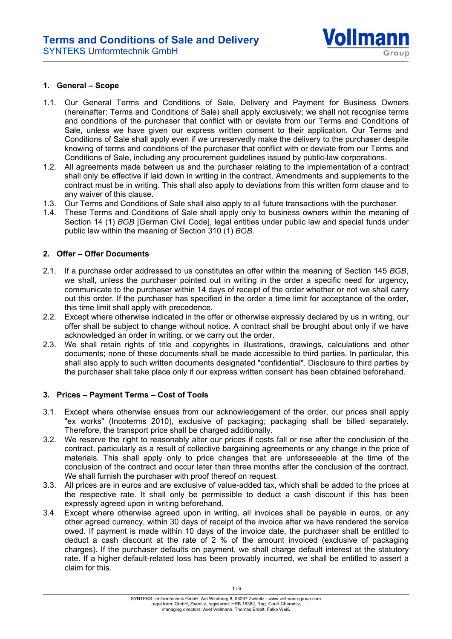

#### **1. General – Scope**

- 1.1. Our General Terms and Conditions of Sale, Delivery and Payment for Business Owners (hereinafter: Terms and Conditions of Sale) shall apply exclusively; we shall not recognise terms and conditions of the purchaser that conflict with or deviate from our Terms and Conditions of Sale, unless we have given our express written consent to their application. Our Terms and Conditions of Sale shall apply even if we unreservedly make the delivery to the purchaser despite knowing of terms and conditions of the purchaser that conflict with or deviate from our Terms and Conditions of Sale, including any procurement guidelines issued by public-law corporations.
- 1.2. All agreements made between us and the purchaser relating to the implementation of a contract shall only be effective if laid down in writing in the contract. Amendments and supplements to the contract must be in writing. This shall also apply to deviations from this written form clause and to any waiver of this clause.
- 1.3. Our Terms and Conditions of Sale shall also apply to all future transactions with the purchaser.
- 1.4. These Terms and Conditions of Sale shall apply only to business owners within the meaning of Section 14 (1) *BGB* [German Civil Code], legal entities under public law and special funds under public law within the meaning of Section 310 (1) *BGB*.

### **2. Offer – Offer Documents**

- 2.1. If a purchase order addressed to us constitutes an offer within the meaning of Section 145 *BGB*, we shall, unless the purchaser pointed out in writing in the order a specific need for urgency, communicate to the purchaser within 14 days of receipt of the order whether or not we shall carry out this order. If the purchaser has specified in the order a time limit for acceptance of the order, this time limit shall apply with precedence.
- 2.2. Except where otherwise indicated in the offer or otherwise expressly declared by us in writing, our offer shall be subject to change without notice. A contract shall be brought about only if we have acknowledged an order in writing, or we carry out the order.
- 2.3. We shall retain rights of title and copyrights in illustrations, drawings, calculations and other documents; none of these documents shall be made accessible to third parties. In particular, this shall also apply to such written documents designated "confidential". Disclosure to third parties by the purchaser shall take place only if our express written consent has been obtained beforehand.

## **3. Prices – Payment Terms – Cost of Tools**

- 3.1. Except where otherwise ensues from our acknowledgement of the order, our prices shall apply "ex works" (Incoterms 2010), exclusive of packaging; packaging shall be billed separately. Therefore, the transport price shall be charged additionally.
- 3.2. We reserve the right to reasonably alter our prices if costs fall or rise after the conclusion of the contract, particularly as a result of collective bargaining agreements or any change in the price of materials. This shall apply only to price changes that are unforeseeable at the time of the conclusion of the contract and occur later than three months after the conclusion of the contract. We shall furnish the purchaser with proof thereof on request.
- 3.3. All prices are in euros and are exclusive of value-added tax, which shall be added to the prices at the respective rate. It shall only be permissible to deduct a cash discount if this has been expressly agreed upon in writing beforehand.
- 3.4. Except where otherwise agreed upon in writing, all invoices shall be payable in euros, or any other agreed currency, within 30 days of receipt of the invoice after we have rendered the service owed. If payment is made within 10 days of the invoice date, the purchaser shall be entitled to deduct a cash discount at the rate of 2 % of the amount invoiced (exclusive of packaging charges). If the purchaser defaults on payment, we shall charge default interest at the statutory rate. If a higher default-related loss has been provably incurred, we shall be entitled to assert a claim for this.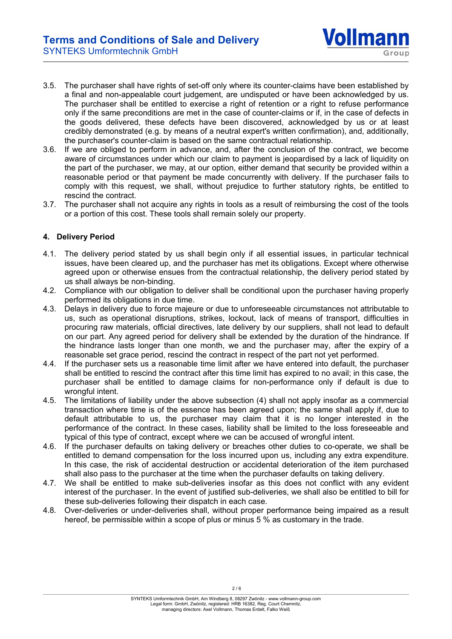- 3.5. The purchaser shall have rights of set-off only where its counter-claims have been established by a final and non-appealable court judgement, are undisputed or have been acknowledged by us. The purchaser shall be entitled to exercise a right of retention or a right to refuse performance only if the same preconditions are met in the case of counter-claims or if, in the case of defects in the goods delivered, these defects have been discovered, acknowledged by us or at least credibly demonstrated (e.g. by means of a neutral expert's written confirmation), and, additionally, the purchaser's counter-claim is based on the same contractual relationship.
- 3.6. If we are obliged to perform in advance, and, after the conclusion of the contract, we become aware of circumstances under which our claim to payment is jeopardised by a lack of liquidity on the part of the purchaser, we may, at our option, either demand that security be provided within a reasonable period or that payment be made concurrently with delivery. If the purchaser fails to comply with this request, we shall, without prejudice to further statutory rights, be entitled to rescind the contract.
- 3.7. The purchaser shall not acquire any rights in tools as a result of reimbursing the cost of the tools or a portion of this cost. These tools shall remain solely our property.

# **4. Delivery Period**

- 4.1. The delivery period stated by us shall begin only if all essential issues, in particular technical issues, have been cleared up, and the purchaser has met its obligations. Except where otherwise agreed upon or otherwise ensues from the contractual relationship, the delivery period stated by us shall always be non-binding.
- 4.2. Compliance with our obligation to deliver shall be conditional upon the purchaser having properly performed its obligations in due time.
- 4.3. Delays in delivery due to force majeure or due to unforeseeable circumstances not attributable to us, such as operational disruptions, strikes, lockout, lack of means of transport, difficulties in procuring raw materials, official directives, late delivery by our suppliers, shall not lead to default on our part. Any agreed period for delivery shall be extended by the duration of the hindrance. If the hindrance lasts longer than one month, we and the purchaser may, after the expiry of a reasonable set grace period, rescind the contract in respect of the part not yet performed.
- 4.4. If the purchaser sets us a reasonable time limit after we have entered into default, the purchaser shall be entitled to rescind the contract after this time limit has expired to no avail; in this case, the purchaser shall be entitled to damage claims for non-performance only if default is due to wrongful intent.
- 4.5. The limitations of liability under the above subsection (4) shall not apply insofar as a commercial transaction where time is of the essence has been agreed upon; the same shall apply if, due to default attributable to us, the purchaser may claim that it is no longer interested in the performance of the contract. In these cases, liability shall be limited to the loss foreseeable and typical of this type of contract, except where we can be accused of wrongful intent.
- 4.6. If the purchaser defaults on taking delivery or breaches other duties to co-operate, we shall be entitled to demand compensation for the loss incurred upon us, including any extra expenditure. In this case, the risk of accidental destruction or accidental deterioration of the item purchased shall also pass to the purchaser at the time when the purchaser defaults on taking delivery.
- 4.7. We shall be entitled to make sub-deliveries insofar as this does not conflict with any evident interest of the purchaser. In the event of justified sub-deliveries, we shall also be entitled to bill for these sub-deliveries following their dispatch in each case.
- 4.8. Over-deliveries or under-deliveries shall, without proper performance being impaired as a result hereof, be permissible within a scope of plus or minus 5 % as customary in the trade.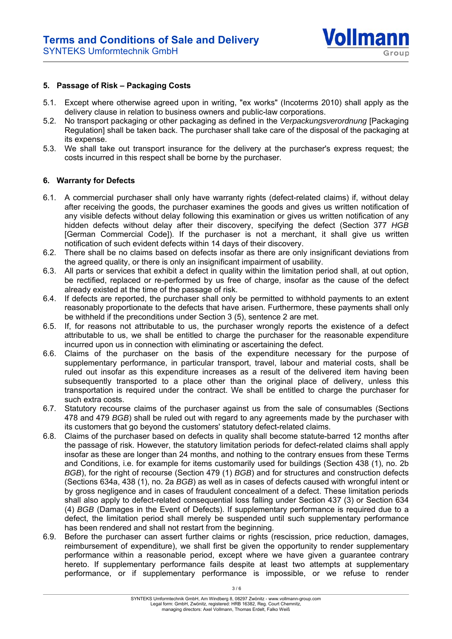

#### **5. Passage of Risk – Packaging Costs**

- 5.1. Except where otherwise agreed upon in writing, "ex works" (Incoterms 2010) shall apply as the delivery clause in relation to business owners and public-law corporations.
- 5.2. No transport packaging or other packaging as defined in the *Verpackungsverordnung* [Packaging Regulation] shall be taken back. The purchaser shall take care of the disposal of the packaging at its expense.
- 5.3. We shall take out transport insurance for the delivery at the purchaser's express request; the costs incurred in this respect shall be borne by the purchaser.

#### **6. Warranty for Defects**

- 6.1. A commercial purchaser shall only have warranty rights (defect-related claims) if, without delay after receiving the goods, the purchaser examines the goods and gives us written notification of any visible defects without delay following this examination or gives us written notification of any hidden defects without delay after their discovery, specifying the defect (Section 377 *HGB* [German Commercial Code]). If the purchaser is not a merchant, it shall give us written notification of such evident defects within 14 days of their discovery.
- 6.2. There shall be no claims based on defects insofar as there are only insignificant deviations from the agreed quality, or there is only an insignificant impairment of usability.
- 6.3. All parts or services that exhibit a defect in quality within the limitation period shall, at out option, be rectified, replaced or re-performed by us free of charge, insofar as the cause of the defect already existed at the time of the passage of risk.
- 6.4. If defects are reported, the purchaser shall only be permitted to withhold payments to an extent reasonably proportionate to the defects that have arisen. Furthermore, these payments shall only be withheld if the preconditions under Section 3 (5), sentence 2 are met.
- 6.5. If, for reasons not attributable to us, the purchaser wrongly reports the existence of a defect attributable to us, we shall be entitled to charge the purchaser for the reasonable expenditure incurred upon us in connection with eliminating or ascertaining the defect.
- 6.6. Claims of the purchaser on the basis of the expenditure necessary for the purpose of supplementary performance, in particular transport, travel, labour and material costs, shall be ruled out insofar as this expenditure increases as a result of the delivered item having been subsequently transported to a place other than the original place of delivery, unless this transportation is required under the contract. We shall be entitled to charge the purchaser for such extra costs.
- 6.7. Statutory recourse claims of the purchaser against us from the sale of consumables (Sections 478 and 479 *BGB*) shall be ruled out with regard to any agreements made by the purchaser with its customers that go beyond the customers' statutory defect-related claims.
- 6.8. Claims of the purchaser based on defects in quality shall become statute-barred 12 months after the passage of risk. However, the statutory limitation periods for defect-related claims shall apply insofar as these are longer than 24 months, and nothing to the contrary ensues from these Terms and Conditions, i.e. for example for items customarily used for buildings (Section 438 (1), no. 2b *BGB*), for the right of recourse (Section 479 (1) *BGB*) and for structures and construction defects (Sections 634a, 438 (1), no. 2a *BGB*) as well as in cases of defects caused with wrongful intent or by gross negligence and in cases of fraudulent concealment of a defect. These limitation periods shall also apply to defect-related consequential loss falling under Section 437 (3) or Section 634 (4) *BGB* (Damages in the Event of Defects). If supplementary performance is required due to a defect, the limitation period shall merely be suspended until such supplementary performance has been rendered and shall not restart from the beginning.
- 6.9. Before the purchaser can assert further claims or rights (rescission, price reduction, damages, reimbursement of expenditure), we shall first be given the opportunity to render supplementary performance within a reasonable period, except where we have given a guarantee contrary hereto. If supplementary performance fails despite at least two attempts at supplementary performance, or if supplementary performance is impossible, or we refuse to render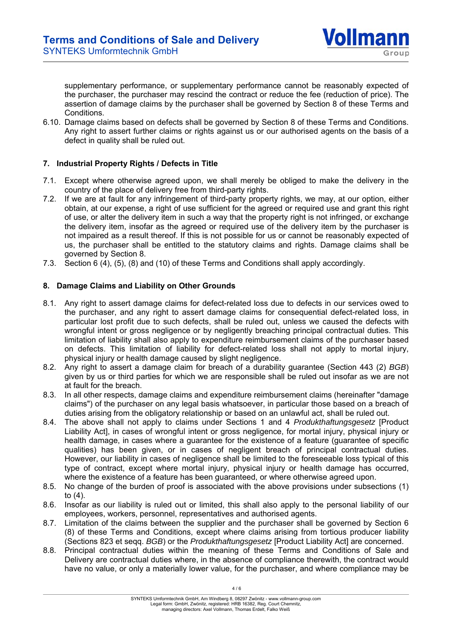

supplementary performance, or supplementary performance cannot be reasonably expected of the purchaser, the purchaser may rescind the contract or reduce the fee (reduction of price). The assertion of damage claims by the purchaser shall be governed by Section 8 of these Terms and Conditions.

6.10. Damage claims based on defects shall be governed by Section 8 of these Terms and Conditions. Any right to assert further claims or rights against us or our authorised agents on the basis of a defect in quality shall be ruled out.

## **7. Industrial Property Rights / Defects in Title**

- 7.1. Except where otherwise agreed upon, we shall merely be obliged to make the delivery in the country of the place of delivery free from third-party rights.
- 7.2. If we are at fault for any infringement of third-party property rights, we may, at our option, either obtain, at our expense, a right of use sufficient for the agreed or required use and grant this right of use, or alter the delivery item in such a way that the property right is not infringed, or exchange the delivery item, insofar as the agreed or required use of the delivery item by the purchaser is not impaired as a result thereof. If this is not possible for us or cannot be reasonably expected of us, the purchaser shall be entitled to the statutory claims and rights. Damage claims shall be governed by Section 8.
- 7.3. Section 6 (4), (5), (8) and (10) of these Terms and Conditions shall apply accordingly.

## **8. Damage Claims and Liability on Other Grounds**

- 8.1. Any right to assert damage claims for defect-related loss due to defects in our services owed to the purchaser, and any right to assert damage claims for consequential defect-related loss, in particular lost profit due to such defects, shall be ruled out, unless we caused the defects with wrongful intent or gross negligence or by negligently breaching principal contractual duties. This limitation of liability shall also apply to expenditure reimbursement claims of the purchaser based on defects. This limitation of liability for defect-related loss shall not apply to mortal injury, physical injury or health damage caused by slight negligence.
- 8.2. Any right to assert a damage claim for breach of a durability guarantee (Section 443 (2) *BGB*) given by us or third parties for which we are responsible shall be ruled out insofar as we are not at fault for the breach.
- 8.3. In all other respects, damage claims and expenditure reimbursement claims (hereinafter "damage claims") of the purchaser on any legal basis whatsoever, in particular those based on a breach of duties arising from the obligatory relationship or based on an unlawful act, shall be ruled out.
- 8.4. The above shall not apply to claims under Sections 1 and 4 *Produkthaftungsgesetz* [Product Liability Act], in cases of wrongful intent or gross negligence, for mortal injury, physical injury or health damage, in cases where a guarantee for the existence of a feature (guarantee of specific qualities) has been given, or in cases of negligent breach of principal contractual duties. However, our liability in cases of negligence shall be limited to the foreseeable loss typical of this type of contract, except where mortal injury, physical injury or health damage has occurred, where the existence of a feature has been guaranteed, or where otherwise agreed upon.
- 8.5. No change of the burden of proof is associated with the above provisions under subsections (1) to (4).
- 8.6. Insofar as our liability is ruled out or limited, this shall also apply to the personal liability of our employees, workers, personnel, representatives and authorised agents.
- 8.7. Limitation of the claims between the supplier and the purchaser shall be governed by Section 6 (8) of these Terms and Conditions, except where claims arising from tortious producer liability (Sections 823 et seqq. *BGB*) or the *Produkthaftungsgesetz* [Product Liability Act] are concerned.
- 8.8. Principal contractual duties within the meaning of these Terms and Conditions of Sale and Delivery are contractual duties where, in the absence of compliance therewith, the contract would have no value, or only a materially lower value, for the purchaser, and where compliance may be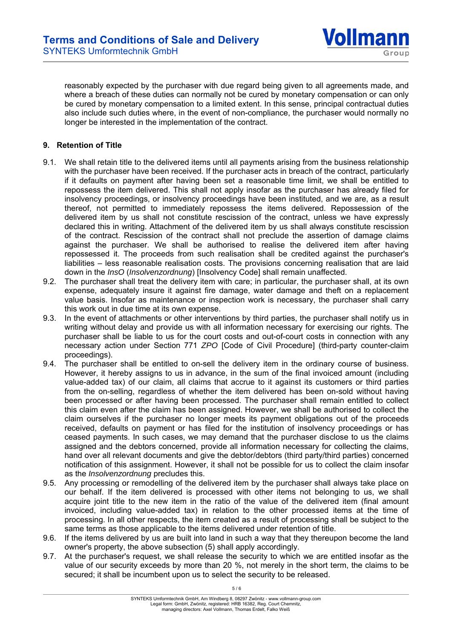

reasonably expected by the purchaser with due regard being given to all agreements made, and where a breach of these duties can normally not be cured by monetary compensation or can only be cured by monetary compensation to a limited extent. In this sense, principal contractual duties also include such duties where, in the event of non-compliance, the purchaser would normally no longer be interested in the implementation of the contract.

# **9. Retention of Title**

- 9.1. We shall retain title to the delivered items until all payments arising from the business relationship with the purchaser have been received. If the purchaser acts in breach of the contract, particularly if it defaults on payment after having been set a reasonable time limit, we shall be entitled to repossess the item delivered. This shall not apply insofar as the purchaser has already filed for insolvency proceedings, or insolvency proceedings have been instituted, and we are, as a result thereof, not permitted to immediately repossess the items delivered. Repossession of the delivered item by us shall not constitute rescission of the contract, unless we have expressly declared this in writing. Attachment of the delivered item by us shall always constitute rescission of the contract. Rescission of the contract shall not preclude the assertion of damage claims against the purchaser. We shall be authorised to realise the delivered item after having repossessed it. The proceeds from such realisation shall be credited against the purchaser's liabilities – less reasonable realisation costs. The provisions concerning realisation that are laid down in the *InsO* (*Insolvenzordnung*) [Insolvency Code] shall remain unaffected.
- 9.2. The purchaser shall treat the delivery item with care; in particular, the purchaser shall, at its own expense, adequately insure it against fire damage, water damage and theft on a replacement value basis. Insofar as maintenance or inspection work is necessary, the purchaser shall carry this work out in due time at its own expense.
- 9.3. In the event of attachments or other interventions by third parties, the purchaser shall notify us in writing without delay and provide us with all information necessary for exercising our rights. The purchaser shall be liable to us for the court costs and out-of-court costs in connection with any necessary action under Section 771 *ZPO* [Code of Civil Procedure] (third-party counter-claim proceedings).
- 9.4. The purchaser shall be entitled to on-sell the delivery item in the ordinary course of business. However, it hereby assigns to us in advance, in the sum of the final invoiced amount (including value-added tax) of our claim, all claims that accrue to it against its customers or third parties from the on-selling, regardless of whether the item delivered has been on-sold without having been processed or after having been processed. The purchaser shall remain entitled to collect this claim even after the claim has been assigned. However, we shall be authorised to collect the claim ourselves if the purchaser no longer meets its payment obligations out of the proceeds received, defaults on payment or has filed for the institution of insolvency proceedings or has ceased payments. In such cases, we may demand that the purchaser disclose to us the claims assigned and the debtors concerned, provide all information necessary for collecting the claims, hand over all relevant documents and give the debtor/debtors (third party/third parties) concerned notification of this assignment. However, it shall not be possible for us to collect the claim insofar as the *Insolvenzordnung* precludes this.
- 9.5. Any processing or remodelling of the delivered item by the purchaser shall always take place on our behalf. If the item delivered is processed with other items not belonging to us, we shall acquire joint title to the new item in the ratio of the value of the delivered item (final amount invoiced, including value-added tax) in relation to the other processed items at the time of processing. In all other respects, the item created as a result of processing shall be subject to the same terms as those applicable to the items delivered under retention of title.
- 9.6. If the items delivered by us are built into land in such a way that they thereupon become the land owner's property, the above subsection (5) shall apply accordingly.
- 9.7. At the purchaser's request, we shall release the security to which we are entitled insofar as the value of our security exceeds by more than 20 %, not merely in the short term, the claims to be secured; it shall be incumbent upon us to select the security to be released.